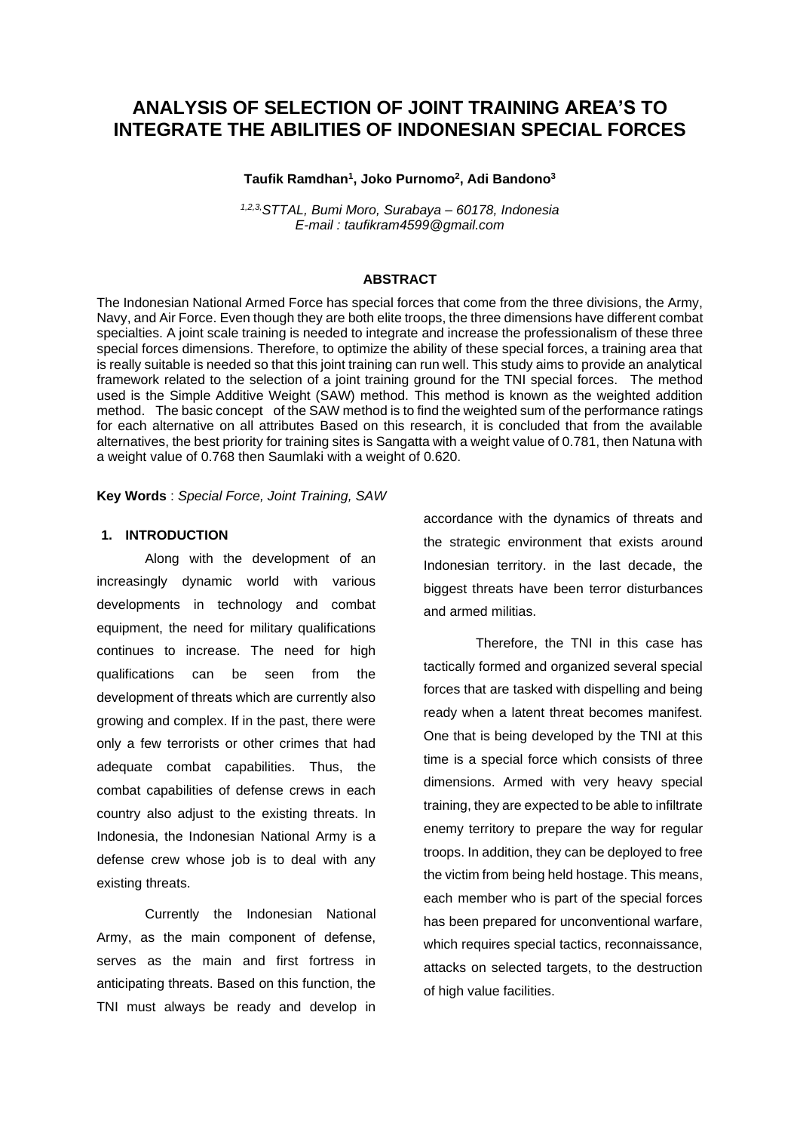# **ANALYSIS OF SELECTION OF JOINT TRAINING AREA'S TO INTEGRATE THE ABILITIES OF INDONESIAN SPECIAL FORCES**

#### **Taufik Ramdhan<sup>1</sup> , Joko Purnomo<sup>2</sup> , Adi Bandono<sup>3</sup>**

*1,2,3,STTAL, Bumi Moro, Surabaya – 60178, Indonesia E-mail : [taufikram4599@gmail.com](mailto:taufikram4599@gmail.com)*

#### **ABSTRACT**

The Indonesian National Armed Force has special forces that come from the three divisions, the Army, Navy, and Air Force. Even though they are both elite troops, the three dimensions have different combat specialties. A joint scale training is needed to integrate and increase the professionalism of these three special forces dimensions. Therefore, to optimize the ability of these special forces, a training area that is really suitable is needed so that this joint training can run well. This study aims to provide an analytical framework related to the selection of a joint training ground for the TNI special forces. The method used is the Simple Additive Weight (SAW) method. This method is known as the weighted addition method. The basic concept of the SAW method is to find the weighted sum of the performance ratings for each alternative on all attributes Based on this research, it is concluded that from the available alternatives, the best priority for training sites is Sangatta with a weight value of 0.781, then Natuna with a weight value of 0.768 then Saumlaki with a weight of 0.620.

**Key Words** : *Special Force, Joint Training, SAW*

#### **1. INTRODUCTION**

Along with the development of an increasingly dynamic world with various developments in technology and combat equipment, the need for military qualifications continues to increase. The need for high qualifications can be seen from the development of threats which are currently also growing and complex. If in the past, there were only a few terrorists or other crimes that had adequate combat capabilities. Thus, the combat capabilities of defense crews in each country also adjust to the existing threats. In Indonesia, the Indonesian National Army is a defense crew whose job is to deal with any existing threats.

Currently the Indonesian National Army, as the main component of defense, serves as the main and first fortress in anticipating threats. Based on this function, the TNI must always be ready and develop in accordance with the dynamics of threats and the strategic environment that exists around Indonesian territory. in the last decade, the biggest threats have been terror disturbances and armed militias.

Therefore, the TNI in this case has tactically formed and organized several special forces that are tasked with dispelling and being ready when a latent threat becomes manifest. One that is being developed by the TNI at this time is a special force which consists of three dimensions. Armed with very heavy special training, they are expected to be able to infiltrate enemy territory to prepare the way for regular troops. In addition, they can be deployed to free the victim from being held hostage. This means, each member who is part of the special forces has been prepared for unconventional warfare, which requires special tactics, reconnaissance, attacks on selected targets, to the destruction of high value facilities.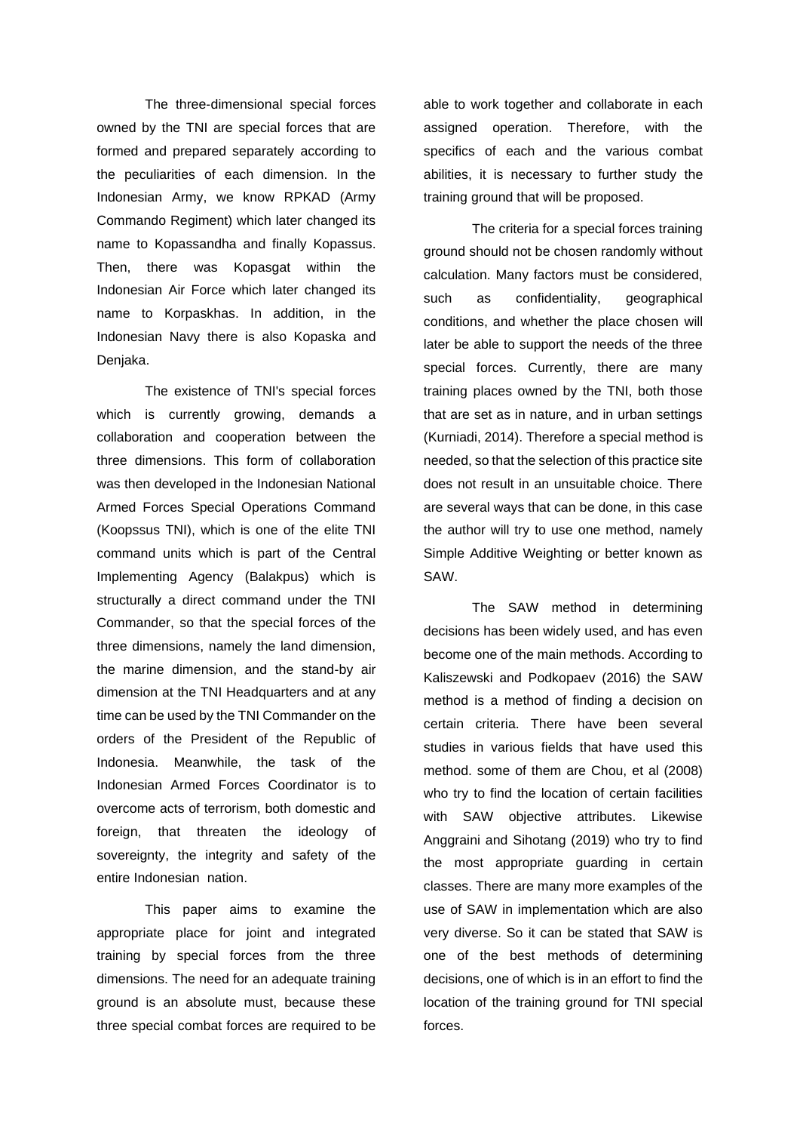The three-dimensional special forces owned by the TNI are special forces that are formed and prepared separately according to the peculiarities of each dimension. In the Indonesian Army, we know RPKAD (Army Commando Regiment) which later changed its name to Kopassandha and finally Kopassus. Then, there was Kopasgat within the Indonesian Air Force which later changed its name to Korpaskhas. In addition, in the Indonesian Navy there is also Kopaska and Denjaka.

The existence of TNI's special forces which is currently growing, demands a collaboration and cooperation between the three dimensions. This form of collaboration was then developed in the Indonesian National Armed Forces Special Operations Command (Koopssus TNI), which is one of the elite TNI command units which is part of the Central Implementing Agency (Balakpus) which is structurally a direct command under the TNI Commander, so that the special forces of the three dimensions, namely the land dimension, the marine dimension, and the stand-by air dimension at the TNI Headquarters and at any time can be used by the TNI Commander on the orders of the President of the Republic of Indonesia. Meanwhile, the task of the Indonesian Armed Forces Coordinator is to overcome acts of terrorism, both domestic and foreign, that threaten the ideology of sovereignty, the integrity and safety of the entire Indonesian nation.

This paper aims to examine the appropriate place for joint and integrated training by special forces from the three dimensions. The need for an adequate training ground is an absolute must, because these three special combat forces are required to be able to work together and collaborate in each assigned operation. Therefore, with the specifics of each and the various combat abilities, it is necessary to further study the training ground that will be proposed.

The criteria for a special forces training ground should not be chosen randomly without calculation. Many factors must be considered, such as confidentiality, geographical conditions, and whether the place chosen will later be able to support the needs of the three special forces. Currently, there are many training places owned by the TNI, both those that are set as in nature, and in urban settings (Kurniadi, 2014). Therefore a special method is needed, so that the selection of this practice site does not result in an unsuitable choice. There are several ways that can be done, in this case the author will try to use one method, namely Simple Additive Weighting or better known as SAW.

The SAW method in determining decisions has been widely used, and has even become one of the main methods. According to Kaliszewski and Podkopaev (2016) the SAW method is a method of finding a decision on certain criteria. There have been several studies in various fields that have used this method. some of them are Chou, et al (2008) who try to find the location of certain facilities with SAW objective attributes. Likewise Anggraini and Sihotang (2019) who try to find the most appropriate guarding in certain classes. There are many more examples of the use of SAW in implementation which are also very diverse. So it can be stated that SAW is one of the best methods of determining decisions, one of which is in an effort to find the location of the training ground for TNI special forces.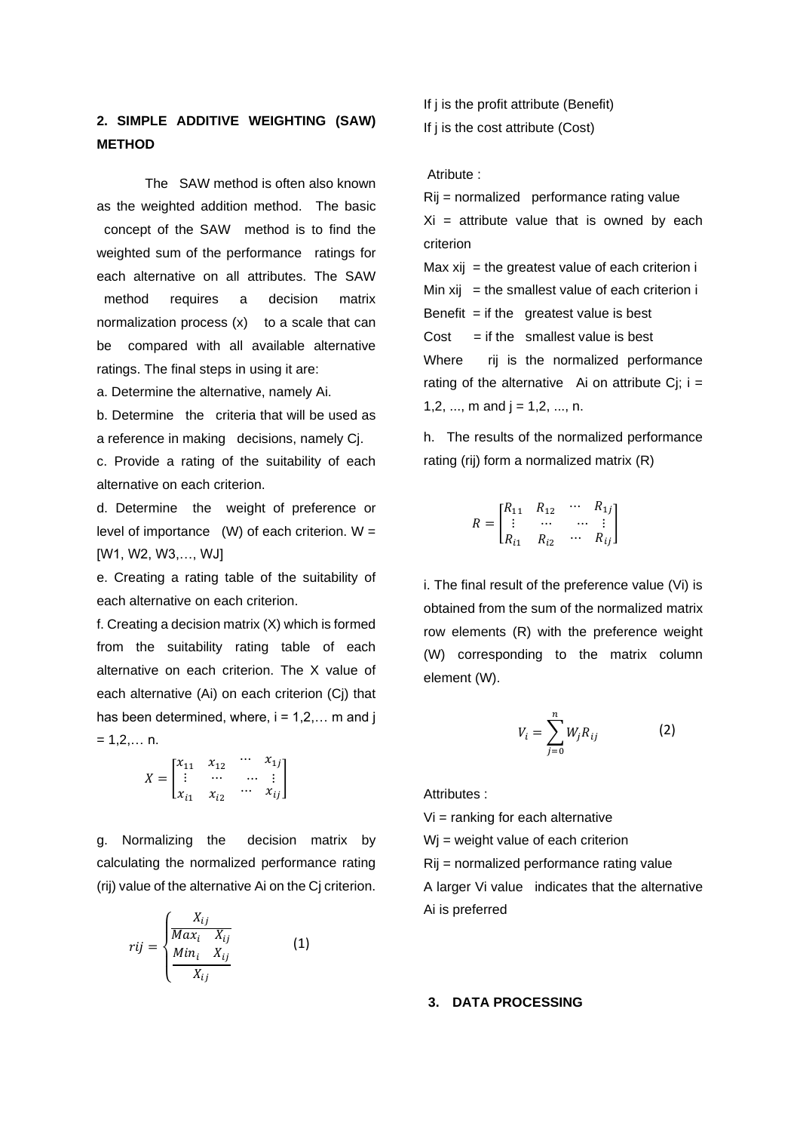# **2. SIMPLE ADDITIVE WEIGHTING (SAW) METHOD**

The SAW method is often also known as the weighted addition method. The basic concept of the SAW method is to find the weighted sum of the performance ratings for each alternative on all attributes. The SAW method requires a decision matrix normalization process  $(x)$  to a scale that can be compared with all available alternative ratings. The final steps in using it are:

a. Determine the alternative, namely Ai.

b. Determine the criteria that will be used as a reference in making decisions, namely Cj.

c. Provide a rating of the suitability of each alternative on each criterion.

d. Determine the weight of preference or level of importance  $(W)$  of each criterion.  $W =$ [W1, W2, W3,…, WJ]

e. Creating a rating table of the suitability of each alternative on each criterion.

f. Creating a decision matrix (X) which is formed from the suitability rating table of each alternative on each criterion. The X value of each alternative (Ai) on each criterion (Cj) that has been determined, where,  $i = 1, 2, \ldots$  m and j  $= 1, 2, \ldots$  n.

$$
X = \begin{bmatrix} x_{11} & x_{12} & \cdots & x_{1j} \\ \vdots & \cdots & \cdots & \vdots \\ x_{i1} & x_{i2} & \cdots & x_{ij} \end{bmatrix}
$$

g. Normalizing the decision matrix by calculating the normalized performance rating (rij) value of the alternative Ai on the Cj criterion.

$$
rij = \begin{cases} \frac{X_{ij}}{Max_i - X_{ij}} \\ \frac{Min_i - X_{ij}}{X_{ij}} \end{cases}
$$
 (1)

- If j is the profit attribute (Benefit)
- If j is the cost attribute (Cost)

Atribute :

Rij = normalized 1performance rating value  $Xi =$  attribute value that is owned by each criterion

Max  $xi =$  the greatest value of each criterion  $i$ Min  $xij =$  the smallest value of each criterion i Benefit  $=$  if the greatest value is best  $Cost = if the smallest value is best$ Where rij is the normalized performance rating of the alternative Ai on attribute Cj;  $i =$ 1,2, ..., m and  $j = 1, 2, ..., n$ .

h. The results of the normalized performance rating (rij) form a normalized matrix (R)

$$
R = \begin{bmatrix} R_{11} & R_{12} & \cdots & R_{1j} \\ \vdots & \cdots & \cdots & \vdots \\ R_{i1} & R_{i2} & \cdots & R_{ij} \end{bmatrix}
$$

i. The final result of the preference value (Vi) is obtained from the sum of the normalized matrix row elements (R) with the preference weight (W) corresponding to the matrix column element (W).

$$
V_i = \sum_{j=0}^{n} W_j R_{ij}
$$
 (2)

Attributes :

 $Vi =$  ranking for each alternative Wj = weight value of each criterion Rij = normalized performance rating value A larger Vi value indicates that the alternative Ai is preferred

#### **3. DATA PROCESSING**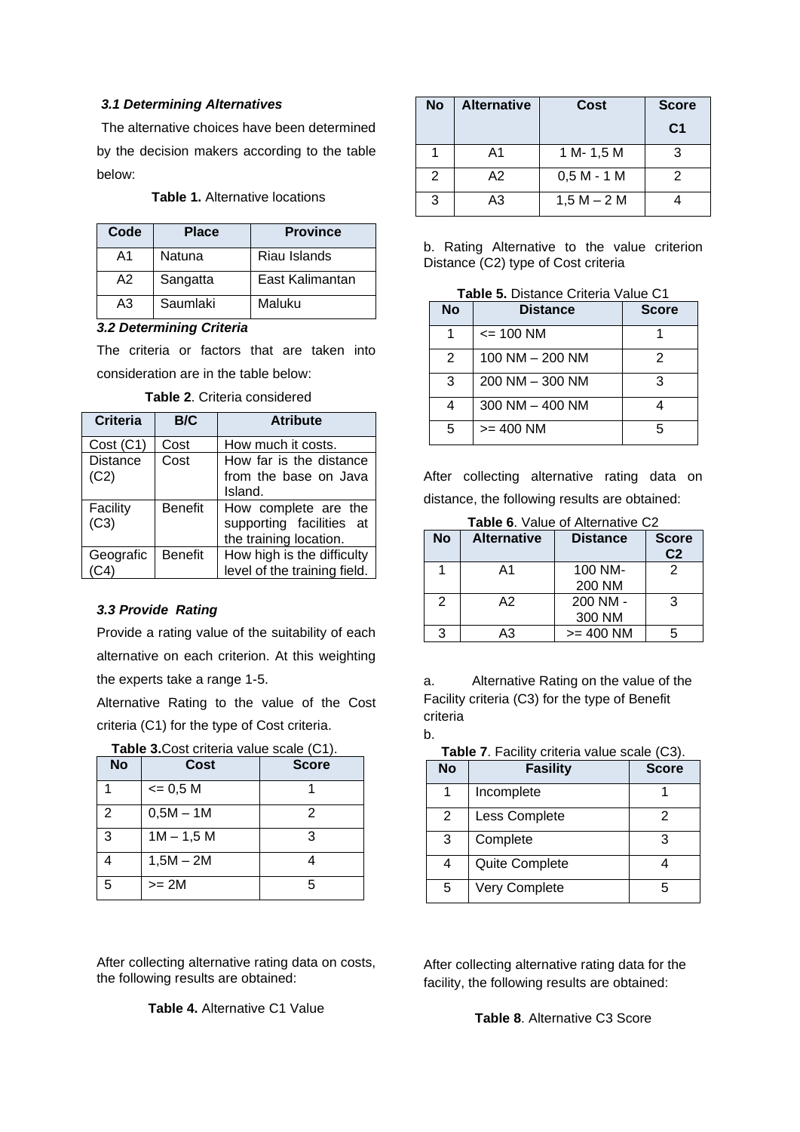# *3.1 Determining Alternatives*

The alternative choices have been determined by the decision makers according to the table below:

# **Table 1.** Alternative locations

| Code | <b>Place</b> | <b>Province</b> |
|------|--------------|-----------------|
| A1   | Natuna       | Riau Islands    |
| A2   | Sangatta     | East Kalimantan |
| A3   | Saumlaki     | Maluku          |

## *3.2 Determining Criteria*

The criteria or factors that are taken into consideration are in the table below:

| Criteria                | B/C            | <b>Atribute</b>                                                            |
|-------------------------|----------------|----------------------------------------------------------------------------|
| Cost (C1)               | Cost           | How much it costs.                                                         |
| <b>Distance</b><br>(C2) | Cost           | How far is the distance<br>from the base on Java<br>Island.                |
| Facility<br>(C3)        | <b>Benefit</b> | How complete are the<br>supporting facilities at<br>the training location. |
| Geografic               | <b>Benefit</b> | How high is the difficulty<br>level of the training field.                 |

# *3.3 Provide Rating*

Provide a rating value of the suitability of each alternative on each criterion. At this weighting the experts take a range 1-5.

Alternative Rating to the value of the Cost criteria (C1) for the type of Cost criteria.

| Table 3. Cost criteria value scale (C1). |             |              |  |  |
|------------------------------------------|-------------|--------------|--|--|
| <b>No</b>                                | Cost        | <b>Score</b> |  |  |
|                                          | $= 0.5 M$   |              |  |  |
| 2                                        | $0,5M - 1M$ | 2            |  |  |
| 3                                        | $1M - 1,5M$ | 3            |  |  |
|                                          | $1,5M - 2M$ |              |  |  |
| 5                                        | >= 2M       | 5            |  |  |

After collecting alternative rating data on costs, the following results are obtained:

**Table 4.** Alternative C1 Value

| <b>No</b> | <b>Alternative</b> | Cost          | <b>Score</b>   |
|-----------|--------------------|---------------|----------------|
|           |                    |               | C <sub>1</sub> |
|           | A1                 | 1 M-1,5 M     | 3              |
| 2         | A2                 | $0,5 M - 1 M$ | 2              |
| 3         | A3                 | $1,5 M - 2 M$ |                |

b. Rating Alternative to the value criterion Distance (C2) type of Cost criteria

**Table 5.** Distance Criteria Value C1

| <b>No</b> | <b>Distance</b>     | <b>Score</b> |
|-----------|---------------------|--------------|
|           | $= 100$ NM          |              |
| 2         | 100 NM - 200 NM     | 2            |
| 3         | 200 NM - 300 NM     | 3            |
| 4         | $300$ NM $-$ 400 NM |              |
| 5         | $>= 400$ NM         | 5            |

After collecting alternative rating data on distance, the following results are obtained:

**Table 6**. Value of Alternative C2

| <b>No</b>     | <b>Alternative</b> | <b>Distance</b> | <b>Score</b><br>C <sub>2</sub> |
|---------------|--------------------|-----------------|--------------------------------|
|               | A1                 | 100 NM-         |                                |
|               |                    | 200 NM          |                                |
| $\mathcal{P}$ | A2                 | 200 NM -        | 3                              |
|               |                    | 300 NM          |                                |
| 3             | AЗ                 | $>= 400$ NM     |                                |

a. Alternative Rating on the value of the Facility criteria (C3) for the type of Benefit criteria

| ۰.<br>۰. |  |
|----------|--|
|          |  |
|          |  |

| Table 7. Facility criteria value scale (C3). |
|----------------------------------------------|
|----------------------------------------------|

| <b>No</b> | <b>Fasility</b> | <b>Score</b> |
|-----------|-----------------|--------------|
|           | Incomplete      |              |
| 2         | Less Complete   | 2            |
| 3         | Complete        | 3            |
| 4         | Quite Complete  |              |
| 5         | Very Complete   |              |

After collecting alternative rating data for the facility, the following results are obtained:

**Table 8**. Alternative C3 Score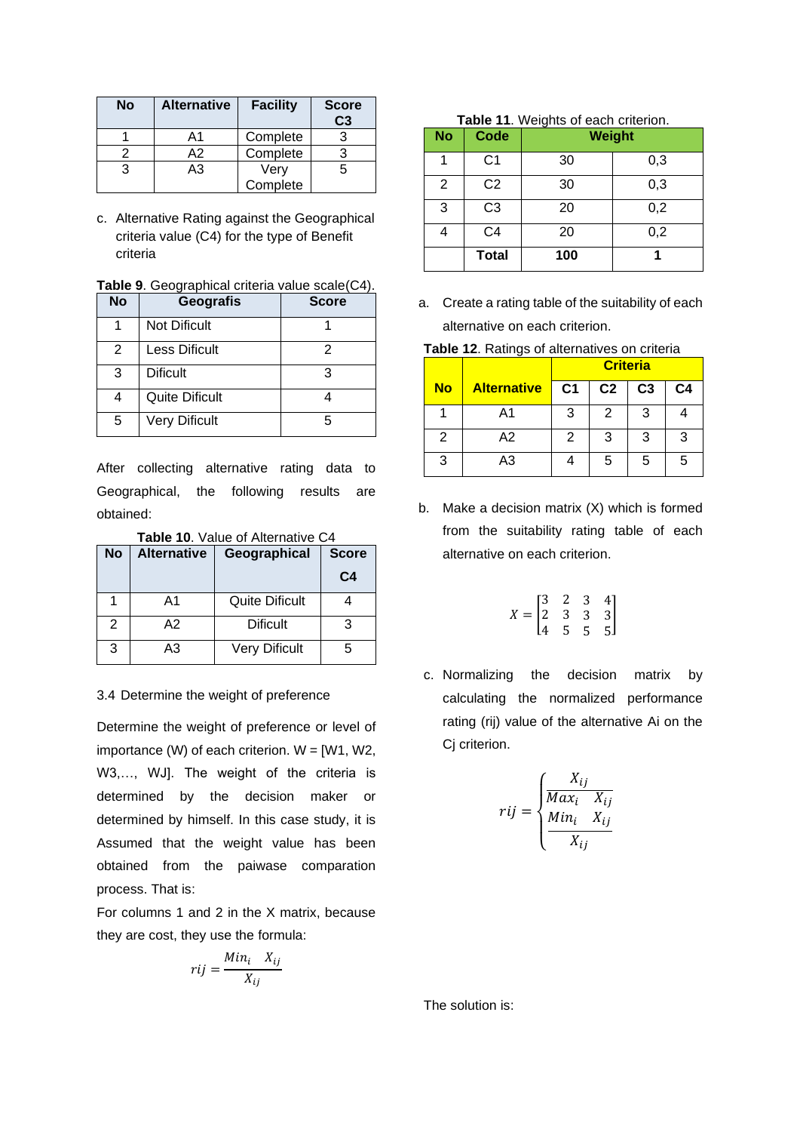| <b>No</b> | <b>Alternative</b> | <b>Facility</b> | <b>Score</b><br>C3 |
|-----------|--------------------|-----------------|--------------------|
|           | A1                 | Complete        |                    |
|           | A2                 | Complete        |                    |
| 3         | A <sub>3</sub>     | Very            |                    |
|           |                    | Complete        |                    |

c. Alternative Rating against the Geographical criteria value (C4) for the type of Benefit criteria

| Table 9. Geographical criteria value scale(C4). |  |  |  |  |  |  |  |
|-------------------------------------------------|--|--|--|--|--|--|--|
|-------------------------------------------------|--|--|--|--|--|--|--|

| <b>No</b> | <b>Geografis</b>      | <b>Score</b> |
|-----------|-----------------------|--------------|
|           | <b>Not Dificult</b>   |              |
| 2         | <b>Less Dificult</b>  | 2            |
| 3         | <b>Dificult</b>       | 3            |
| 4         | <b>Quite Dificult</b> |              |
| 5         | <b>Very Dificult</b>  | г,           |

After collecting alternative rating data to Geographical, the following results are obtained:

**Table 10**. Value of Alternative C4

| <b>No</b> | <b>Alternative</b> | Geographical<br><b>Score</b> |                |
|-----------|--------------------|------------------------------|----------------|
|           |                    |                              | C <sub>4</sub> |
|           | A1                 | <b>Quite Dificult</b>        |                |
| 2         | А2                 | <b>Dificult</b>              | 3              |
| 3         | A3                 | <b>Very Dificult</b>         | 5              |

### 3.4 Determine the weight of preference

Determine the weight of preference or level of importance (W) of each criterion.  $W = [W1, W2,$ W3,…, WJ]. The weight of the criteria is determined by the decision maker or determined by himself. In this case study, it is Assumed that the weight value has been obtained from the paiwase comparation process. That is:

For columns 1 and 2 in the X matrix, because they are cost, they use the formula:

$$
rij = \frac{Min_i \quad X_{ij}}{X_{ij}}
$$

| Table 11. Weights of each criterion. |                |               |     |  |
|--------------------------------------|----------------|---------------|-----|--|
| <b>No</b>                            | Code           | <b>Weight</b> |     |  |
|                                      | C <sub>1</sub> | 30            | 0,3 |  |
| 2                                    | C <sub>2</sub> | 30            | 0,3 |  |
| 3                                    | C <sub>3</sub> | 20            | 0,2 |  |
|                                      | C4             | 20            | 0,2 |  |
|                                      | <b>Total</b>   | 100           |     |  |

a. Create a rating table of the suitability of each alternative on each criterion.

|  |  | Table 12. Ratings of alternatives on criteria |  |  |
|--|--|-----------------------------------------------|--|--|
|--|--|-----------------------------------------------|--|--|

|           |                    | <b>Criteria</b> |                |                |                |
|-----------|--------------------|-----------------|----------------|----------------|----------------|
| <b>No</b> | <b>Alternative</b> | C <sub>1</sub>  | C <sub>2</sub> | C <sub>3</sub> | C <sub>4</sub> |
|           | A1                 | 3               | 2              | З              |                |
| 2         | A2                 | 2               | 3              | 3              | 3              |
| 3         | A3                 |                 | 5              | 5              | 5              |

b. Make a decision matrix (X) which is formed from the suitability rating table of each alternative on each criterion.

$$
X = \begin{bmatrix} 3 & 2 & 3 & 4 \\ 2 & 3 & 3 & 3 \\ 4 & 5 & 5 & 5 \end{bmatrix}
$$

c. Normalizing the decision matrix by calculating the normalized performance rating (rij) value of the alternative Ai on the Ci criterion.

$$
rij = \begin{cases} \frac{X_{ij}}{Max_i} & X_{ij} \\ \frac{Min_i}{X_{ij}} & X_{ij} \end{cases}
$$

The solution is: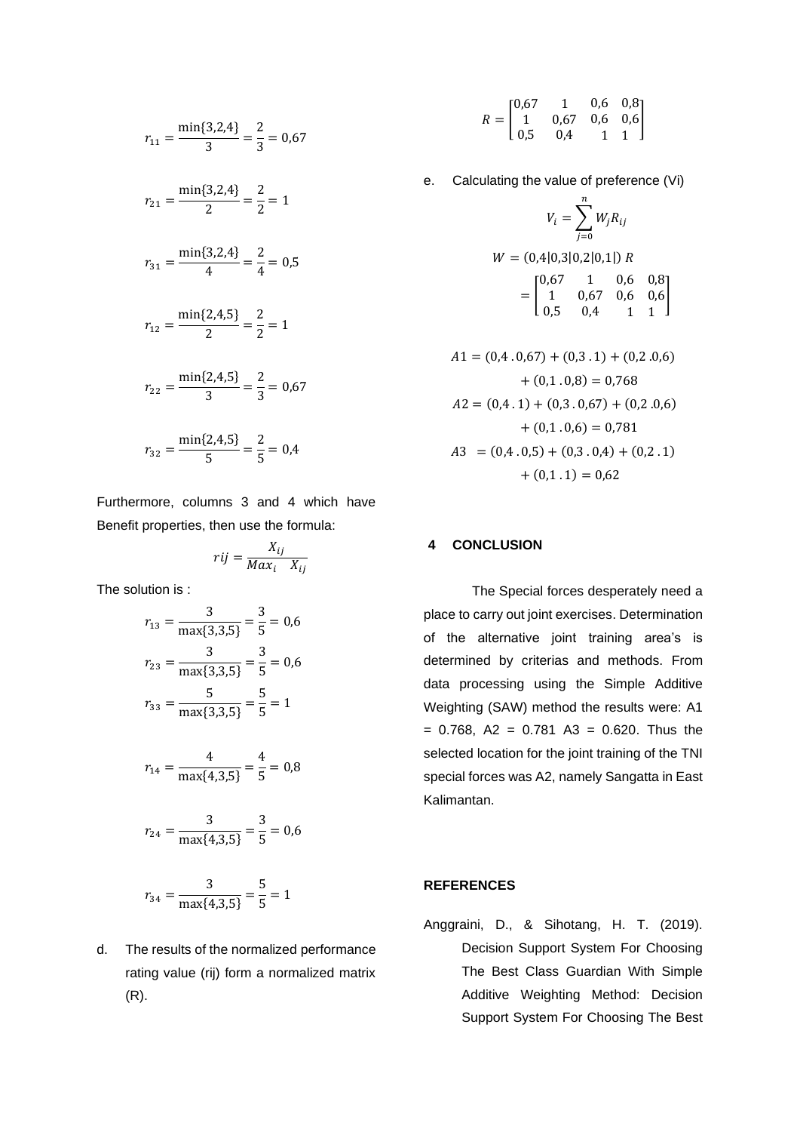$$
r_{11} = \frac{\min\{3,2,4\}}{3} = \frac{2}{3} = 0.67
$$
  

$$
r_{21} = \frac{\min\{3,2,4\}}{2} = \frac{2}{2} = 1
$$
  

$$
r_{31} = \frac{\min\{3,2,4\}}{4} = \frac{2}{4} = 0.5
$$
  

$$
r_{12} = \frac{\min\{2,4,5\}}{2} = \frac{2}{2} = 1
$$
  

$$
r_{22} = \frac{\min\{2,4,5\}}{3} = \frac{2}{3} = 0.67
$$
  

$$
r_{32} = \frac{\min\{2,4,5\}}{5} = \frac{2}{5} = 0.4
$$

Furthermore, columns 3 and 4 which have Benefit properties, then use the formula:

$$
rij = \frac{X_{ij}}{Max_i \quad X_{ij}}
$$

The solution is :

$$
r_{13} = \frac{3}{\max\{3,3,5\}} = \frac{3}{5} = 0,6
$$
  

$$
r_{23} = \frac{3}{\max\{3,3,5\}} = \frac{3}{5} = 0,6
$$
  

$$
r_{33} = \frac{5}{\max\{3,3,5\}} = \frac{5}{5} = 1
$$

$$
r_{14} = \frac{4}{\max\{4,3,5\}} = \frac{4}{5} = 0.8
$$

$$
r_{24} = \frac{3}{\max\{4, 3, 5\}} = \frac{3}{5} = 0.6
$$

$$
r_{34} = \frac{3}{\max\{4, 3, 5\}} = \frac{5}{5} = 1
$$

d. The results of the normalized performance rating value (rij) form a normalized matrix (R).

- $R = |$ 0,67 1 0,6 0,8 1 0,67 0,6 0,6 0,5 0,4 1 1 ]
- e. Calculating the value of preference (Vi)

$$
V_i = \sum_{j=0}^{n} W_j R_{ij}
$$
  
W = (0,4|0,3|0,2|0,1|) R  
= 
$$
\begin{bmatrix} 0.67 & 1 & 0.6 & 0.8 \\ 1 & 0.67 & 0.6 & 0.6 \\ 0.5 & 0.4 & 1 & 1 \end{bmatrix}
$$

$$
A1 = (0,4 \cdot 0,67) + (0,3 \cdot 1) + (0,2 \cdot 0,6)
$$
  
+ (0,1 \cdot 0,8) = 0,768  

$$
A2 = (0,4 \cdot 1) + (0,3 \cdot 0,67) + (0,2 \cdot 0,6)
$$
  
+ (0,1 \cdot 0,6) = 0,781  

$$
A3 = (0,4 \cdot 0,5) + (0,3 \cdot 0,4) + (0,2 \cdot 1)
$$
  
+ (0,1 \cdot 1) = 0,62

# **4 CONCLUSION**

The Special forces desperately need a place to carry out joint exercises. Determination of the alternative joint training area's is determined by criterias and methods. From data processing using the Simple Additive Weighting (SAW) method the results were: A1  $= 0.768$ , A2  $= 0.781$  A3  $= 0.620$ . Thus the selected location for the joint training of the TNI special forces was A2, namely Sangatta in East Kalimantan.

#### **REFERENCES**

Anggraini, D., & Sihotang, H. T. (2019). Decision Support System For Choosing The Best Class Guardian With Simple Additive Weighting Method: Decision Support System For Choosing The Best